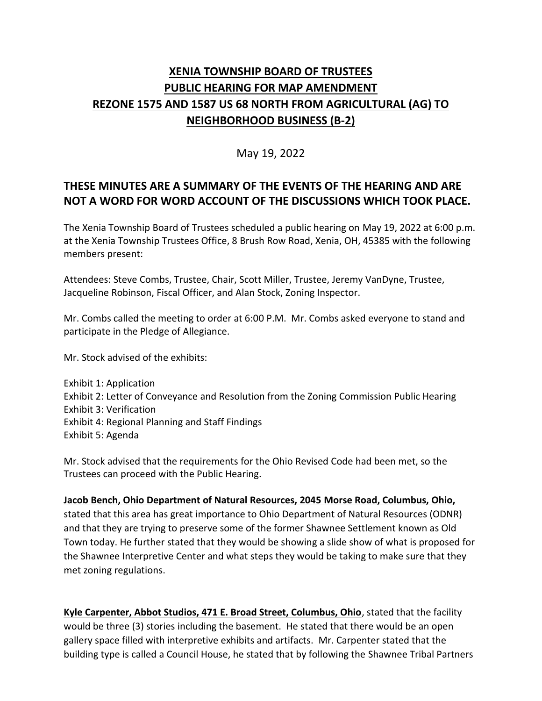# **XENIA TOWNSHIP BOARD OF TRUSTEES PUBLIC HEARING FOR MAP AMENDMENT REZONE 1575 AND 1587 US 68 NORTH FROM AGRICULTURAL (AG) TO NEIGHBORHOOD BUSINESS (B-2)**

### May 19, 2022

## **THESE MINUTES ARE A SUMMARY OF THE EVENTS OF THE HEARING AND ARE NOT A WORD FOR WORD ACCOUNT OF THE DISCUSSIONS WHICH TOOK PLACE.**

The Xenia Township Board of Trustees scheduled a public hearing on May 19, 2022 at 6:00 p.m. at the Xenia Township Trustees Office, 8 Brush Row Road, Xenia, OH, 45385 with the following members present:

Attendees: Steve Combs, Trustee, Chair, Scott Miller, Trustee, Jeremy VanDyne, Trustee, Jacqueline Robinson, Fiscal Officer, and Alan Stock, Zoning Inspector.

Mr. Combs called the meeting to order at 6:00 P.M. Mr. Combs asked everyone to stand and participate in the Pledge of Allegiance.

Mr. Stock advised of the exhibits:

Exhibit 1: Application Exhibit 2: Letter of Conveyance and Resolution from the Zoning Commission Public Hearing Exhibit 3: Verification Exhibit 4: Regional Planning and Staff Findings Exhibit 5: Agenda

Mr. Stock advised that the requirements for the Ohio Revised Code had been met, so the Trustees can proceed with the Public Hearing.

**Jacob Bench, Ohio Department of Natural Resources, 2045 Morse Road, Columbus, Ohio,** stated that this area has great importance to Ohio Department of Natural Resources (ODNR) and that they are trying to preserve some of the former Shawnee Settlement known as Old Town today. He further stated that they would be showing a slide show of what is proposed for the Shawnee Interpretive Center and what steps they would be taking to make sure that they met zoning regulations.

**Kyle Carpenter, Abbot Studios, 471 E. Broad Street, Columbus, Ohio**, stated that the facility would be three (3) stories including the basement. He stated that there would be an open gallery space filled with interpretive exhibits and artifacts. Mr. Carpenter stated that the building type is called a Council House, he stated that by following the Shawnee Tribal Partners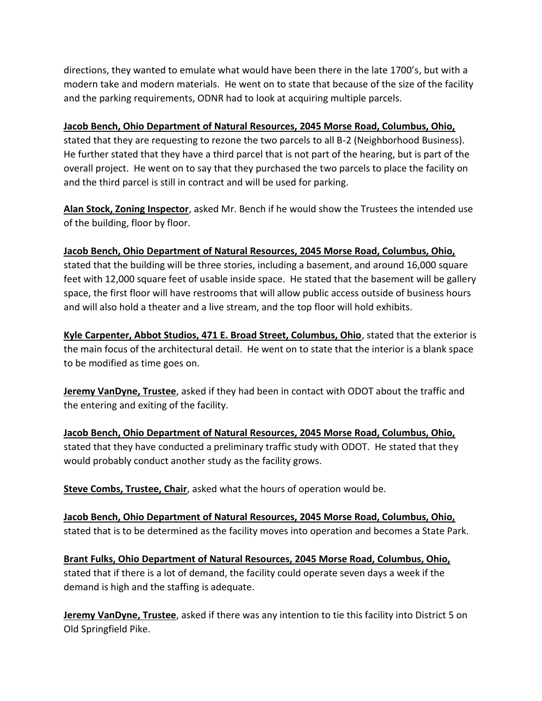directions, they wanted to emulate what would have been there in the late 1700's, but with a modern take and modern materials. He went on to state that because of the size of the facility and the parking requirements, ODNR had to look at acquiring multiple parcels.

#### **Jacob Bench, Ohio Department of Natural Resources, 2045 Morse Road, Columbus, Ohio,**

stated that they are requesting to rezone the two parcels to all B-2 (Neighborhood Business). He further stated that they have a third parcel that is not part of the hearing, but is part of the overall project. He went on to say that they purchased the two parcels to place the facility on and the third parcel is still in contract and will be used for parking.

**Alan Stock, Zoning Inspector**, asked Mr. Bench if he would show the Trustees the intended use of the building, floor by floor.

#### **Jacob Bench, Ohio Department of Natural Resources, 2045 Morse Road, Columbus, Ohio,**

stated that the building will be three stories, including a basement, and around 16,000 square feet with 12,000 square feet of usable inside space. He stated that the basement will be gallery space, the first floor will have restrooms that will allow public access outside of business hours and will also hold a theater and a live stream, and the top floor will hold exhibits.

**Kyle Carpenter, Abbot Studios, 471 E. Broad Street, Columbus, Ohio**, stated that the exterior is the main focus of the architectural detail. He went on to state that the interior is a blank space to be modified as time goes on.

**Jeremy VanDyne, Trustee**, asked if they had been in contact with ODOT about the traffic and the entering and exiting of the facility.

**Jacob Bench, Ohio Department of Natural Resources, 2045 Morse Road, Columbus, Ohio,** stated that they have conducted a preliminary traffic study with ODOT. He stated that they would probably conduct another study as the facility grows.

**Steve Combs, Trustee, Chair**, asked what the hours of operation would be.

**Jacob Bench, Ohio Department of Natural Resources, 2045 Morse Road, Columbus, Ohio,** stated that is to be determined as the facility moves into operation and becomes a State Park.

**Brant Fulks, Ohio Department of Natural Resources, 2045 Morse Road, Columbus, Ohio,** stated that if there is a lot of demand, the facility could operate seven days a week if the demand is high and the staffing is adequate.

**Jeremy VanDyne, Trustee**, asked if there was any intention to tie this facility into District 5 on Old Springfield Pike.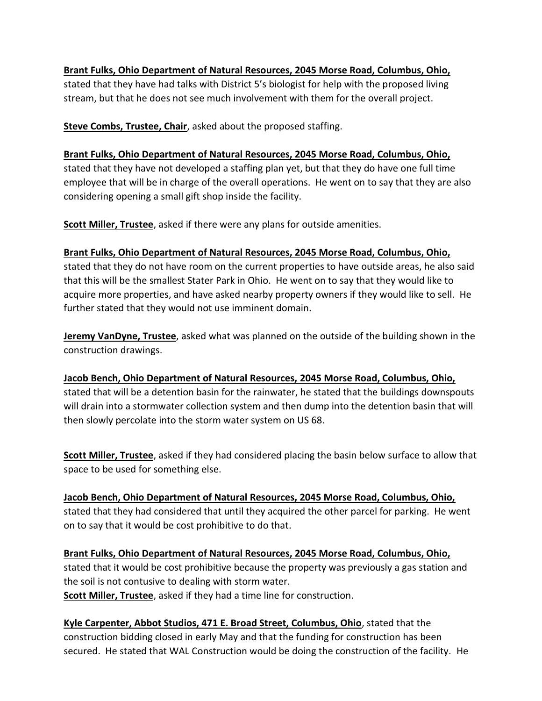# **Brant Fulks, Ohio Department of Natural Resources, 2045 Morse Road, Columbus, Ohio,**

stated that they have had talks with District 5's biologist for help with the proposed living stream, but that he does not see much involvement with them for the overall project.

**Steve Combs, Trustee, Chair**, asked about the proposed staffing.

## **Brant Fulks, Ohio Department of Natural Resources, 2045 Morse Road, Columbus, Ohio,** stated that they have not developed a staffing plan yet, but that they do have one full time employee that will be in charge of the overall operations. He went on to say that they are also considering opening a small gift shop inside the facility.

**Scott Miller, Trustee**, asked if there were any plans for outside amenities.

### **Brant Fulks, Ohio Department of Natural Resources, 2045 Morse Road, Columbus, Ohio,**

stated that they do not have room on the current properties to have outside areas, he also said that this will be the smallest Stater Park in Ohio. He went on to say that they would like to acquire more properties, and have asked nearby property owners if they would like to sell. He further stated that they would not use imminent domain.

**Jeremy VanDyne, Trustee**, asked what was planned on the outside of the building shown in the construction drawings.

### **Jacob Bench, Ohio Department of Natural Resources, 2045 Morse Road, Columbus, Ohio,** stated that will be a detention basin for the rainwater, he stated that the buildings downspouts will drain into a stormwater collection system and then dump into the detention basin that will then slowly percolate into the storm water system on US 68.

**Scott Miller, Trustee**, asked if they had considered placing the basin below surface to allow that space to be used for something else.

**Jacob Bench, Ohio Department of Natural Resources, 2045 Morse Road, Columbus, Ohio,** stated that they had considered that until they acquired the other parcel for parking. He went on to say that it would be cost prohibitive to do that.

**Brant Fulks, Ohio Department of Natural Resources, 2045 Morse Road, Columbus, Ohio,** stated that it would be cost prohibitive because the property was previously a gas station and the soil is not contusive to dealing with storm water. **Scott Miller, Trustee**, asked if they had a time line for construction.

**Kyle Carpenter, Abbot Studios, 471 E. Broad Street, Columbus, Ohio**, stated that the construction bidding closed in early May and that the funding for construction has been secured. He stated that WAL Construction would be doing the construction of the facility. He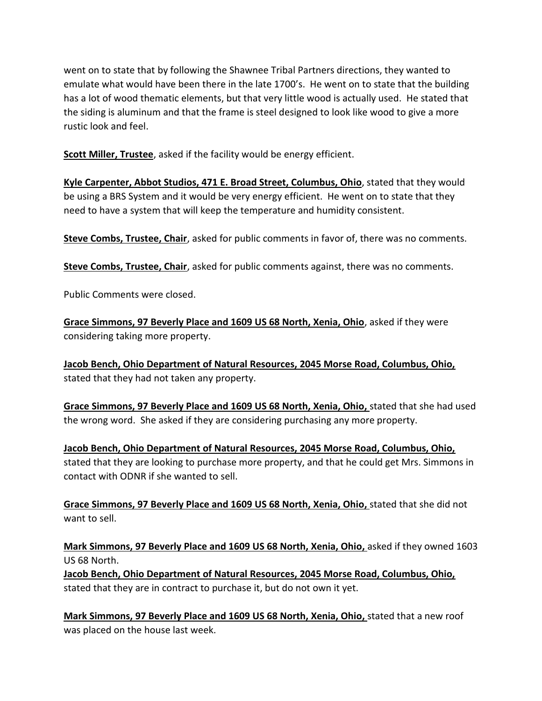went on to state that by following the Shawnee Tribal Partners directions, they wanted to emulate what would have been there in the late 1700's. He went on to state that the building has a lot of wood thematic elements, but that very little wood is actually used. He stated that the siding is aluminum and that the frame is steel designed to look like wood to give a more rustic look and feel.

**Scott Miller, Trustee**, asked if the facility would be energy efficient.

**Kyle Carpenter, Abbot Studios, 471 E. Broad Street, Columbus, Ohio**, stated that they would be using a BRS System and it would be very energy efficient. He went on to state that they need to have a system that will keep the temperature and humidity consistent.

**Steve Combs, Trustee, Chair**, asked for public comments in favor of, there was no comments.

**Steve Combs, Trustee, Chair**, asked for public comments against, there was no comments.

Public Comments were closed.

**Grace Simmons, 97 Beverly Place and 1609 US 68 North, Xenia, Ohio**, asked if they were considering taking more property.

**Jacob Bench, Ohio Department of Natural Resources, 2045 Morse Road, Columbus, Ohio,** stated that they had not taken any property.

**Grace Simmons, 97 Beverly Place and 1609 US 68 North, Xenia, Ohio,** stated that she had used the wrong word. She asked if they are considering purchasing any more property.

**Jacob Bench, Ohio Department of Natural Resources, 2045 Morse Road, Columbus, Ohio,** stated that they are looking to purchase more property, and that he could get Mrs. Simmons in contact with ODNR if she wanted to sell.

**Grace Simmons, 97 Beverly Place and 1609 US 68 North, Xenia, Ohio,** stated that she did not want to sell.

**Mark Simmons, 97 Beverly Place and 1609 US 68 North, Xenia, Ohio,** asked if they owned 1603 US 68 North.

**Jacob Bench, Ohio Department of Natural Resources, 2045 Morse Road, Columbus, Ohio,** stated that they are in contract to purchase it, but do not own it yet.

**Mark Simmons, 97 Beverly Place and 1609 US 68 North, Xenia, Ohio,** stated that a new roof was placed on the house last week.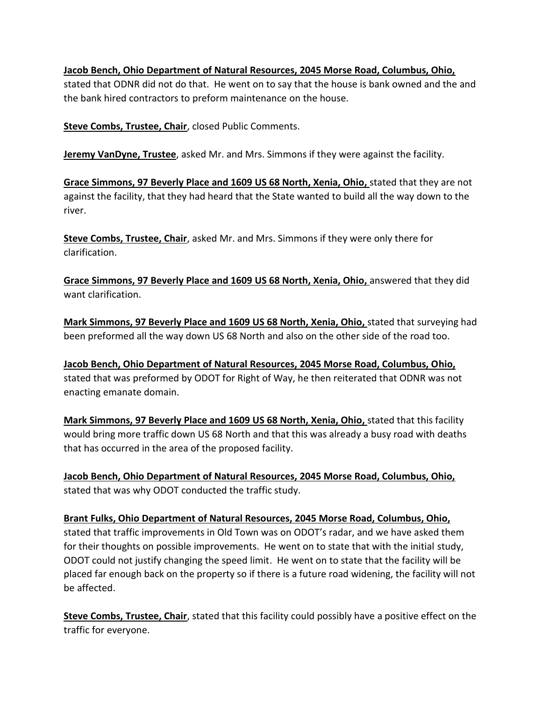**Jacob Bench, Ohio Department of Natural Resources, 2045 Morse Road, Columbus, Ohio,**

stated that ODNR did not do that. He went on to say that the house is bank owned and the and the bank hired contractors to preform maintenance on the house.

**Steve Combs, Trustee, Chair**, closed Public Comments.

**Jeremy VanDyne, Trustee**, asked Mr. and Mrs. Simmons if they were against the facility.

**Grace Simmons, 97 Beverly Place and 1609 US 68 North, Xenia, Ohio,** stated that they are not against the facility, that they had heard that the State wanted to build all the way down to the river.

**Steve Combs, Trustee, Chair**, asked Mr. and Mrs. Simmons if they were only there for clarification.

**Grace Simmons, 97 Beverly Place and 1609 US 68 North, Xenia, Ohio,** answered that they did want clarification.

**Mark Simmons, 97 Beverly Place and 1609 US 68 North, Xenia, Ohio,** stated that surveying had been preformed all the way down US 68 North and also on the other side of the road too.

**Jacob Bench, Ohio Department of Natural Resources, 2045 Morse Road, Columbus, Ohio,** stated that was preformed by ODOT for Right of Way, he then reiterated that ODNR was not enacting emanate domain.

**Mark Simmons, 97 Beverly Place and 1609 US 68 North, Xenia, Ohio,** stated that this facility would bring more traffic down US 68 North and that this was already a busy road with deaths that has occurred in the area of the proposed facility.

**Jacob Bench, Ohio Department of Natural Resources, 2045 Morse Road, Columbus, Ohio,** stated that was why ODOT conducted the traffic study.

**Brant Fulks, Ohio Department of Natural Resources, 2045 Morse Road, Columbus, Ohio,** stated that traffic improvements in Old Town was on ODOT's radar, and we have asked them for their thoughts on possible improvements. He went on to state that with the initial study, ODOT could not justify changing the speed limit. He went on to state that the facility will be placed far enough back on the property so if there is a future road widening, the facility will not be affected.

**Steve Combs, Trustee, Chair**, stated that this facility could possibly have a positive effect on the traffic for everyone.